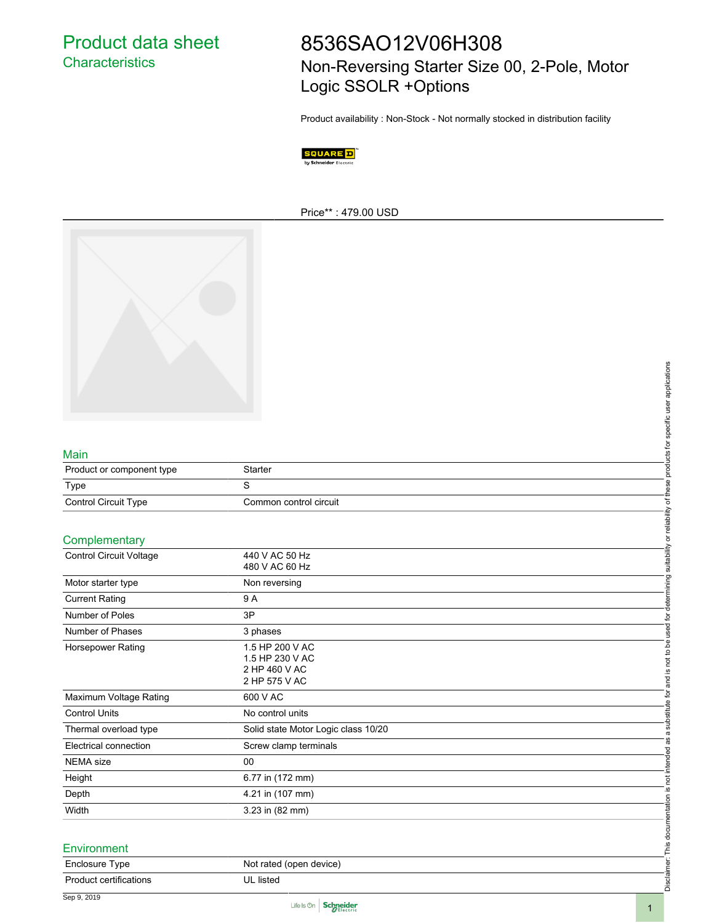Product data sheet **Characteristics** 

# 8536SAO12V06H308 Non-Reversing Starter Size 00, 2-Pole, Motor Logic SSOLR +Options

Product availability : Non-Stock - Not normally stocked in distribution facility



Price\*\* : 479.00 USD



#### Main

| Product or component type   | Starter                |
|-----------------------------|------------------------|
| Type                        |                        |
| <b>Control Circuit Type</b> | Common control circuit |

#### **Complementary**

|                               |                                                                      | Disclaimer. This documentation is not intended as a substitute for and is not to be used for determining suitability or reliability of these products for specific user applications |
|-------------------------------|----------------------------------------------------------------------|--------------------------------------------------------------------------------------------------------------------------------------------------------------------------------------|
|                               |                                                                      |                                                                                                                                                                                      |
| Main                          |                                                                      |                                                                                                                                                                                      |
| Product or component type     | Starter                                                              |                                                                                                                                                                                      |
| Type                          | $\mathbf S$                                                          |                                                                                                                                                                                      |
| Control Circuit Type          | Common control circuit                                               |                                                                                                                                                                                      |
|                               |                                                                      |                                                                                                                                                                                      |
| Complementary                 |                                                                      |                                                                                                                                                                                      |
| Control Circuit Voltage       | 440 V AC 50 Hz<br>480 V AC 60 Hz                                     |                                                                                                                                                                                      |
| Motor starter type            | Non reversing                                                        |                                                                                                                                                                                      |
| <b>Current Rating</b>         | 9A                                                                   |                                                                                                                                                                                      |
| Number of Poles               | 3P                                                                   |                                                                                                                                                                                      |
| Number of Phases              | 3 phases                                                             |                                                                                                                                                                                      |
| Horsepower Rating             | 1.5 HP 200 V AC<br>1.5 HP 230 V AC<br>2 HP 460 V AC<br>2 HP 575 V AC |                                                                                                                                                                                      |
| Maximum Voltage Rating        | 600 V AC                                                             |                                                                                                                                                                                      |
| <b>Control Units</b>          | No control units                                                     |                                                                                                                                                                                      |
| Thermal overload type         | Solid state Motor Logic class 10/20                                  |                                                                                                                                                                                      |
| Electrical connection         | Screw clamp terminals                                                |                                                                                                                                                                                      |
| <b>NEMA</b> size              | 00                                                                   |                                                                                                                                                                                      |
| Height                        | 6.77 in (172 mm)                                                     |                                                                                                                                                                                      |
| Depth                         | 4.21 in (107 mm)                                                     |                                                                                                                                                                                      |
| Width                         | 3.23 in (82 mm)                                                      |                                                                                                                                                                                      |
| Environment                   |                                                                      |                                                                                                                                                                                      |
| Enclosure Type                | Not rated (open device)                                              |                                                                                                                                                                                      |
| <b>Product certifications</b> | UL listed                                                            |                                                                                                                                                                                      |

#### **Environment**

| Enclosure Type         | Not rated (open device) |
|------------------------|-------------------------|
| Product certifications | UL listed               |